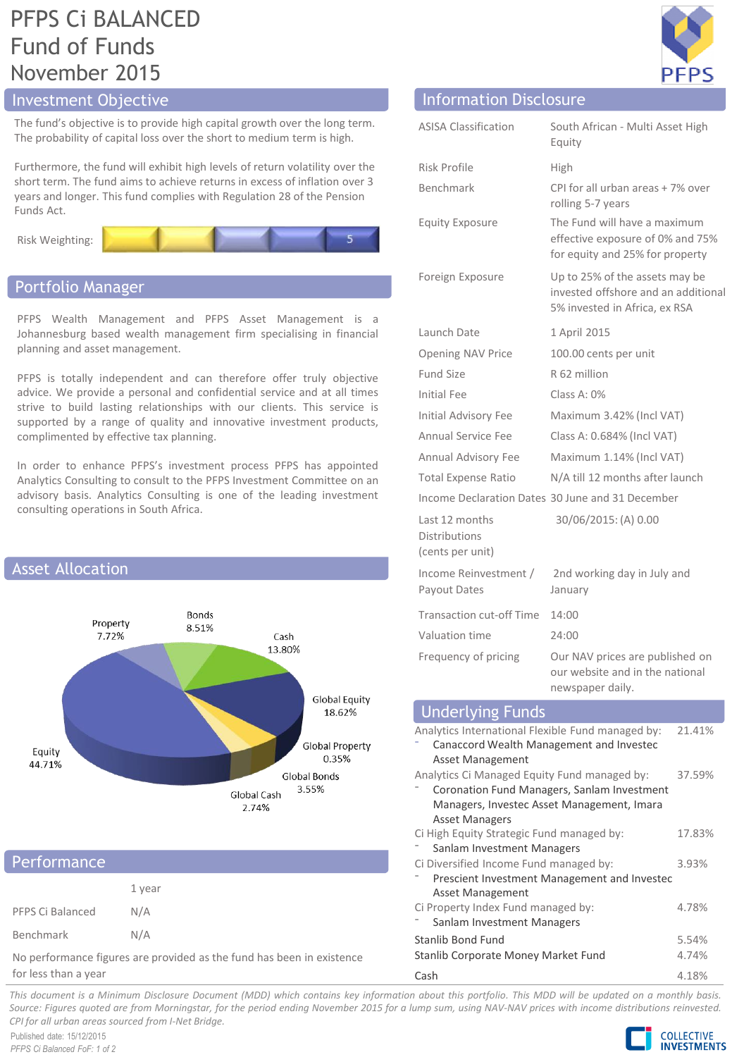# PFPS Ci BALANCED Fund of Funds November 2015

# Investment Objective Information Disclosure

The fund's objective is to provide high capital growth over the long term. The probability of capital loss over the short to medium term is high.

Furthermore, the fund will exhibit high levels of return volatility over the short term. The fund aims to achieve returns in excess of inflation over 3 years and longer. This fund complies with Regulation 28 of the Pension Funds Act.





## Portfolio Manager

PFPS Wealth Management and PFPS Asset Management is a Johannesburg based wealth management firm specialising in financial planning and asset management.

PFPS is totally independent and can therefore offer truly objective advice. We provide a personal and confidential service and at all times strive to build lasting relationships with our clients. This service is supported by a range of quality and innovative investment products, complimented by effective tax planning.

In order to enhance PFPS's investment process PFPS has appointed Analytics Consulting to consult to the PFPS Investment Committee on an advisory basis. Analytics Consulting is one of the leading investment consulting operations in South Africa.



| Performance                                                           |        |
|-----------------------------------------------------------------------|--------|
|                                                                       | 1 year |
| PFPS Ci Balanced                                                      | N/A    |
| Benchmark                                                             | N/A    |
| No performance figures are provided as the fund has been in existence |        |

for less than a year



| <b>ASISA Classification</b>                                                                                                                                                  | South African - Multi Asset High<br>Equity                                                             |  |
|------------------------------------------------------------------------------------------------------------------------------------------------------------------------------|--------------------------------------------------------------------------------------------------------|--|
| Risk Profile                                                                                                                                                                 | High                                                                                                   |  |
| Benchmark                                                                                                                                                                    | CPI for all urban areas + 7% over<br>rolling 5-7 years                                                 |  |
| <b>Equity Exposure</b>                                                                                                                                                       | The Fund will have a maximum<br>effective exposure of 0% and 75%<br>for equity and 25% for property    |  |
| Foreign Exposure                                                                                                                                                             | Up to 25% of the assets may be<br>invested offshore and an additional<br>5% invested in Africa, ex RSA |  |
| Launch Date                                                                                                                                                                  | 1 April 2015                                                                                           |  |
| Opening NAV Price                                                                                                                                                            | 100.00 cents per unit                                                                                  |  |
| <b>Fund Size</b>                                                                                                                                                             | R 62 million                                                                                           |  |
| <b>Initial Fee</b>                                                                                                                                                           | Class A: $0\%$                                                                                         |  |
| Initial Advisory Fee                                                                                                                                                         | Maximum 3.42% (Incl VAT)                                                                               |  |
| Annual Service Fee                                                                                                                                                           | Class A: 0.684% (Incl VAT)                                                                             |  |
| Annual Advisory Fee                                                                                                                                                          | Maximum 1.14% (Incl VAT)                                                                               |  |
| <b>Total Expense Ratio</b>                                                                                                                                                   | N/A till 12 months after launch                                                                        |  |
|                                                                                                                                                                              | Income Declaration Dates 30 June and 31 December                                                       |  |
| Last 12 months<br><b>Distributions</b><br>(cents per unit)                                                                                                                   | 30/06/2015: (A) 0.00                                                                                   |  |
| Income Reinvestment /<br>Payout Dates                                                                                                                                        | 2nd working day in July and<br>January                                                                 |  |
| <b>Transaction cut-off Time</b>                                                                                                                                              | 14:00                                                                                                  |  |
| Valuation time                                                                                                                                                               | 24:00                                                                                                  |  |
| Frequency of pricing                                                                                                                                                         | Our NAV prices are published on<br>our website and in the national<br>newspaper daily.                 |  |
| <b>Underlying Funds</b>                                                                                                                                                      |                                                                                                        |  |
| Analytics International Flexible Fund managed by:<br>21.41%<br>Canaccord Wealth Management and Investec<br>Asset Management                                                  |                                                                                                        |  |
| Analytics Ci Managed Equity Fund managed by:<br>37.59%<br>Coronation Fund Managers, Sanlam Investment<br>Managers, Investec Asset Management, Imara<br><b>Asset Managers</b> |                                                                                                        |  |

Ci High Equity Strategic Fund managed by: Sanlam Investment Managers

Ci Diversified Income Fund managed by:

Ci Property Index Fund managed by: Sanlam Investment Managers

Asset Management

⁻ Prescient Investment Management and Investec

Stanlib Bond Fund 5.54% Stanlib Corporate Money Market Fund 4.74% Cash 4.18%

This document is a Minimum Disclosure Document (MDD) which contains key information about this portfolio. This MDD will be updated on a monthly basis. Source: Figures guoted are from Morningstar, for the period ending November 2015 for a lump sum, using NAV-NAV prices with income distributions reinvested. *CPI for all urban areas sourced from I-Net Bridge.*

Published date: 15/12/2015 *PFPS Ci Balanced FoF: 1 of 2*



17.83%

3.93%

4.78%